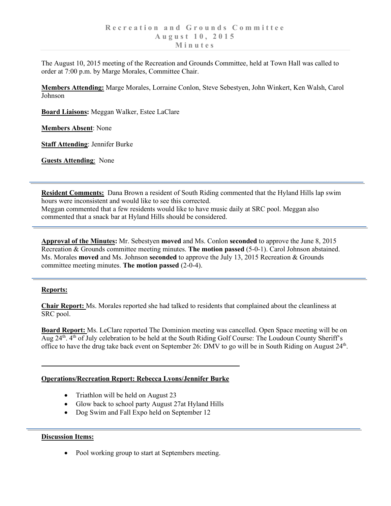The August 10, 2015 meeting of the Recreation and Grounds Committee, held at Town Hall was called to order at 7:00 p.m. by Marge Morales, Committee Chair.

**Members Attending:** Marge Morales, Lorraine Conlon, Steve Sebestyen, John Winkert, Ken Walsh, Carol Johnson

**Board Liaisons:** Meggan Walker, Estee LaClare

**Members Absent**: None

**Staff Attending**: Jennifer Burke

**Guests Attending**: None

**Resident Comments:** Dana Brown a resident of South Riding commented that the Hyland Hills lap swim hours were inconsistent and would like to see this corrected.

Meggan commented that a few residents would like to have music daily at SRC pool. Meggan also commented that a snack bar at Hyland Hills should be considered.

**Approval of the Minutes:** Mr. Sebestyen **moved** and Ms. Conlon **seconded** to approve the June 8, 2015 Recreation & Grounds committee meeting minutes. **The motion passed** (5-0-1). Carol Johnson abstained. Ms. Morales **moved** and Ms. Johnson **seconded** to approve the July 13, 2015 Recreation & Grounds committee meeting minutes. **The motion passed** (2-0-4).

## **Reports:**

**Chair Report:** Ms. Morales reported she had talked to residents that complained about the cleanliness at SRC pool.

**Board Report:** Ms. LeClare reported The Dominion meeting was cancelled. Open Space meeting will be on Aug 24<sup>th</sup>. 4<sup>th</sup> of July celebration to be held at the South Riding Golf Course: The Loudoun County Sheriff's office to have the drug take back event on September 26: DMV to go will be in South Riding on August  $24<sup>th</sup>$ .

## **Operations/Recreation Report: Rebecca Lyons/Jennifer Burke**

- Triathlon will be held on August 23
- Glow back to school party August 27at Hyland Hills
- Dog Swim and Fall Expo held on September 12

## **Discussion Items:**

• Pool working group to start at Septembers meeting.